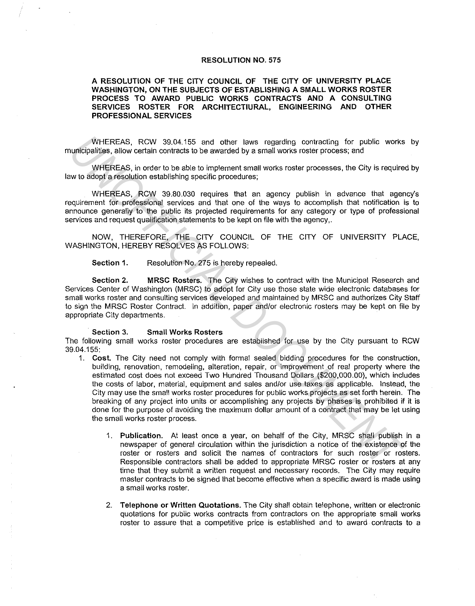## **RESOLUTION NO. 575**

## **A RESOLUTION OF THE CITY COUNCIL OF THE CITY OF UNIVERSITY PLACE WASHINGTON, ON THE SUBJECTS OF ESTABLISHING A SMALL WORKS ROSTER**  PROCESS TO AWARD PUBLIC WORKS CONTRACTS AND A CONSULTING **SERVICES ROSTER FOR ARCHITECTIURAL, ENGINEERING AND OTHER PROFESSIONAL SERVICES**

WHEREAS, RCW 39.04.155 and other laws regarding contracting for public works by municipalities, allow certain contracts to be awarded by a small works roster process; and

WHEREAS, in order to be able to implement small works roster processes, the City is required by law to adopt a resolution establishing specific procedures;

WHEREAS, RCW 39.80.030 requires that an agency publish in advance that agency's requirement for professional services and that one of the ways to accomplish that notification is to announce generally to the public its projected requirements for any category or type of professional services and request qualification statements to be kept on file with the agency,.

NOW, THEREFORE, THE CITY COUNCIL OF THE CITY OF UNIVERSITY PLACE, WASHINGTON, HEREBY RESOLVES AS FOLLOWS:

**Section 1.** Resolution No. 275 is hereby repealed.

**Section 2. MRSC Rosters.** The City wishes to contract with the Municipal Research and Services Center of Washington (MRSC) to adopt for City use those state wide electronic databases for small works roster and consulting services developed and maintained by MRSC and authorizes City Staff to sign the MRSC Roster Contract. In addition, paper and/or electronic rosters may be kept on file by appropriate City departments.

## **Section 3. Small Works Rosters**

The following small works roster procedures are established for use by the City pursuant lo RCW 39.04.155:

- 1. **Cost.** The City need not comply with formal sealed bidding procedures for the construction, building, renovation, remodeling, alteration, repair, or improvement of real property where the estimated cost does not exceed Two Hundred Thousand Dollars (\$200,000.00), which includes the costs of labor, material, equipment and sales and/or use taxes as applicable. Instead, the City may use the small works roster procedures for public works projects as set forth herein. The breaking of any project into units or accomplishing any projects by phases is prohibited if it is done for the purpose of avoiding the maximum dollar amount of a contract that may be let using the small works roster process. WHEREAS, ROW 30,04,155 and other laws regarding contracting for public works<br>
undicplaties, allow certain contracts to be ewarded by a small works roster processes, the City is require<br>
WHEREAS, in order to be able to impl
	- 1. **Publication.** At least once a year, on behalf of the City, MRSC shall publish in a newspaper of general circulation within the jurisdiction a notice of the existence of the roster or rosters and solicit the names of contractors for such roster or rosters. Responsible contractors shall be added to appropriate MRSC roster or rosters at any time that they submit a written request and necessary records. The City may require master contracts to be signed that become effective when a specific award is made using a small works roster.
	- 2. **Telephone or Written Quotations.** The City shall obtain telephone, written or electronic quotations for public works contracts from contractors on the appropriate small works roster to assure that a competitive price is established and to award contracts to a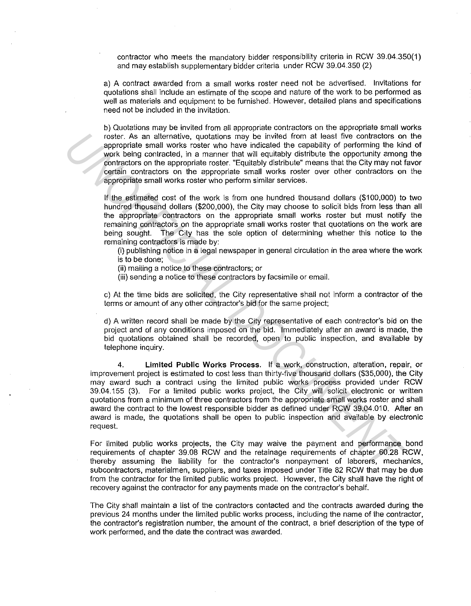contractor who meets the mandatory bidder responsibility criteria in RCW 39.04.350(1) and may establish supplementary bidder criteria under RCW 39.04.350 (2)

a) A contract awarded from a small works roster need not be advertised. Invitations for quotations shall include an estimate of the scope and nature of the work to be performed as well as materials and equipment to be furnished. However, detailed plans and specifications need not be included in the invitation.

b) Quotations may be invited from all appropriate contractors on the appropriate small works roster. As an alternative, quotations may be invited from at least five contractors on the appropriate small works roster who have indicated the capability of performing the kind of work being contracted, in a manner that will equitably distribute the opportunity among the contractors on the appropriate roster. "Equitably distribute" means that the City may not favor certain contractors on the appropriate small works roster over other contractors on the appropriate small works roster who perform similar services.

If the estimated cost of the work is from one hundred thousand dollars (\$100,000) to two hundred thousand dollars (\$200,000), the City may choose to solicit bids from less than all the appropriate contractors on the appropriate small works roster but must notify the remaining contractors on the appropriate small works roster that quotations on the work are being sought. The City has the sole option of determining whether this notice to the remaining contractors is made by:

(i) publishing notice in a legal newspaper in general circulation in the area where the work is to be done;

(ii) mailing a notice to these contractors; or

(iii) sending a notice to these contractors by facsimile or email.

c) At the time bids are solicited, the City representative shall not inform a contractor of the terms or amount of any other contractor's bid for the same project;

d) A written record shall be made by the City representative of each contractor's bid on the project and of any conditions imposed on the bid. Immediately after an award is made, the bid quotations obtained shall be recorded, open to public inspection, and available by telephone inquiry.

4. **Limited Public Works Process.** If a work, construction, alteration, repair, or improvement project is estimated to cost less than thirty-five thousand dollars (\$35,000), the City may award such a contract using the limited public works process provided under RCW 39.04.155 (3). For a limited public works project, the City will solicit electronic or written quotations from a minimum of three contractors from the appropriate small works roster and shall award the contract to the lowest responsible bidder as defined under RCW 39.04.010. After an award is made, the quotations shall be open to public inspection and available by electronic request. roste. As an alternative, quotations may be invited from at least five contractors or<br>appropriate small vorks roster who have indicated the capability of performing the kir<br>work boing contractord, in a mamner that will equ

For limited public works projects, the City may waive the payment and performance bond requirements of chapter 39.08 RCW and the retainage requirements of chapter 60.28 RCW, thereby assuming the liability for the contractor's nonpayment of laborers, mechanics, subcontractors, materialmen, suppliers, and taxes imposed under Title 82 RCW that may be due from the contractor for the limited public works project. However, the City shall have the right of recovery against the contractor for any payments made on the contractor's behalf.

The City shall maintain a list of the contractors contacted and the contracts awarded during the previous 24 months under the limited public works process, including the name of the contractor, the contractor's registration number, the amount of the contract, a brief description of the type of work performed, and the date the contract was awarded.